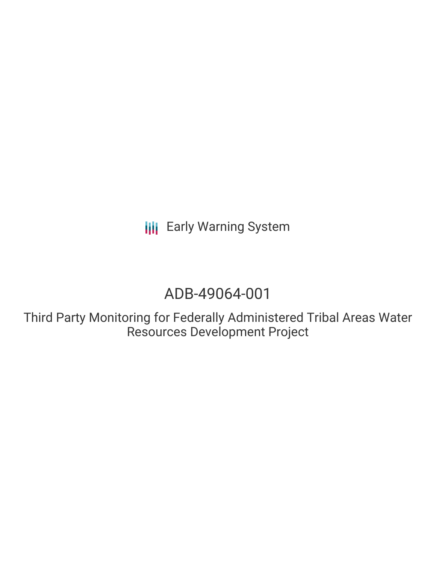**III** Early Warning System

# ADB-49064-001

Third Party Monitoring for Federally Administered Tribal Areas Water Resources Development Project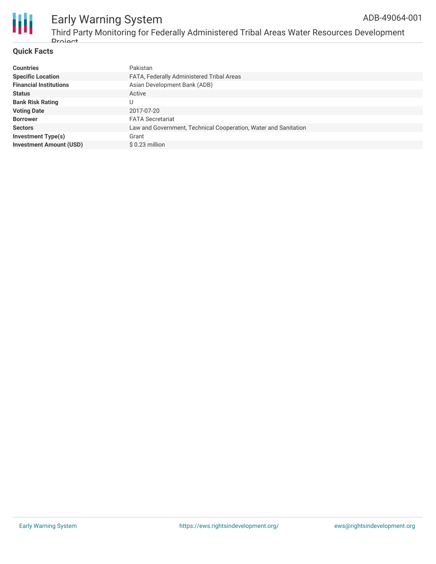

### **Quick Facts**

| <b>Countries</b>               | Pakistan                                                        |
|--------------------------------|-----------------------------------------------------------------|
| <b>Specific Location</b>       | FATA, Federally Administered Tribal Areas                       |
| <b>Financial Institutions</b>  | Asian Development Bank (ADB)                                    |
| <b>Status</b>                  | Active                                                          |
| <b>Bank Risk Rating</b>        |                                                                 |
| <b>Voting Date</b>             | 2017-07-20                                                      |
| <b>Borrower</b>                | <b>FATA Secretariat</b>                                         |
| <b>Sectors</b>                 | Law and Government, Technical Cooperation, Water and Sanitation |
| <b>Investment Type(s)</b>      | Grant                                                           |
| <b>Investment Amount (USD)</b> | $$0.23$ million                                                 |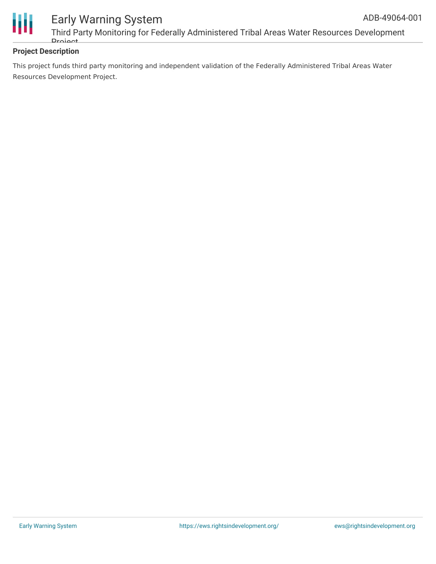

## **Project Description**

This project funds third party monitoring and independent validation of the Federally Administered Tribal Areas Water Resources Development Project.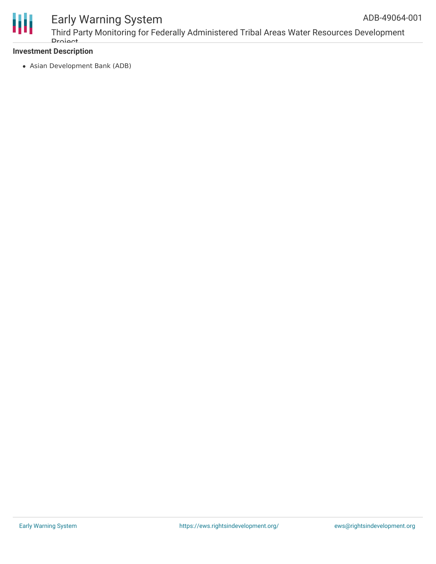

# Early Warning System

## **Investment Description**

Asian Development Bank (ADB)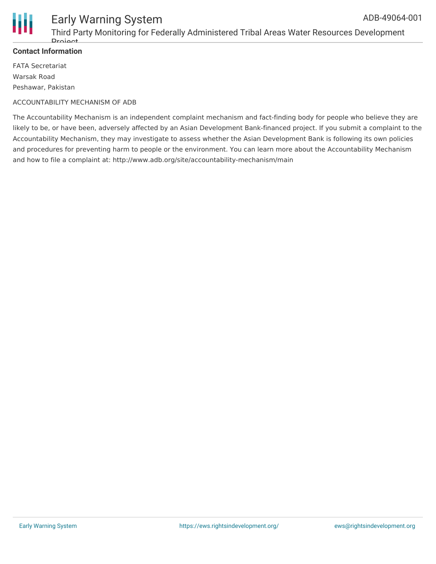

#### **Contact Information**

FATA Secretariat Warsak Road Peshawar, Pakistan

#### ACCOUNTABILITY MECHANISM OF ADB

The Accountability Mechanism is an independent complaint mechanism and fact-finding body for people who believe they are likely to be, or have been, adversely affected by an Asian Development Bank-financed project. If you submit a complaint to the Accountability Mechanism, they may investigate to assess whether the Asian Development Bank is following its own policies and procedures for preventing harm to people or the environment. You can learn more about the Accountability Mechanism and how to file a complaint at: http://www.adb.org/site/accountability-mechanism/main